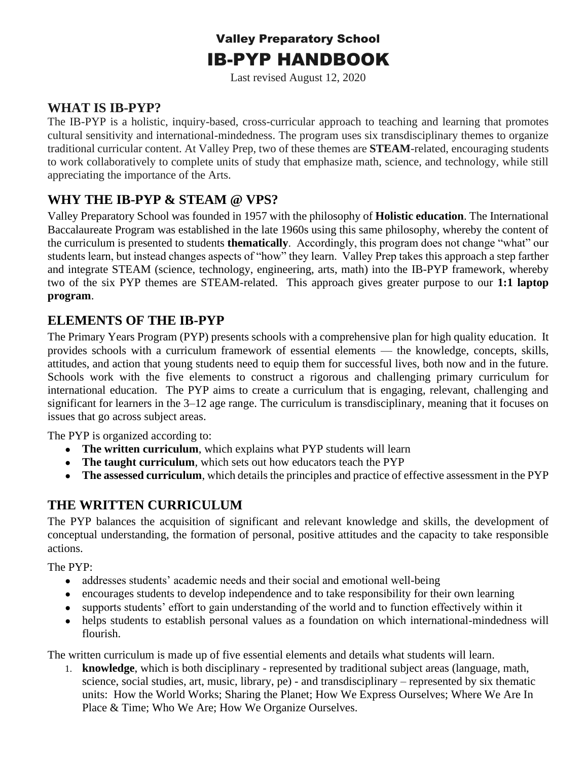# Valley Preparatory School IB-PYP HANDBOOK

Last revised August 12, 2020

# **WHAT IS IB-PYP?**

The IB-PYP is a holistic, inquiry-based, cross-curricular approach to teaching and learning that promotes cultural sensitivity and international-mindedness. The program uses six transdisciplinary themes to organize traditional curricular content. At Valley Prep, two of these themes are **STEAM**-related, encouraging students to work collaboratively to complete units of study that emphasize math, science, and technology, while still appreciating the importance of the Arts.

# **WHY THE IB-PYP & STEAM @ VPS?**

Valley Preparatory School was founded in 1957 with the philosophy of **Holistic education**. The International Baccalaureate Program was established in the late 1960s using this same philosophy, whereby the content of the curriculum is presented to students **thematically**. Accordingly, this program does not change "what" our students learn, but instead changes aspects of "how" they learn. Valley Prep takes this approach a step farther and integrate STEAM (science, technology, engineering, arts, math) into the IB-PYP framework, whereby two of the six PYP themes are STEAM-related. This approach gives greater purpose to our **1:1 laptop program**.

# **ELEMENTS OF THE IB-PYP**

The Primary Years Program (PYP) presents schools with a comprehensive plan for high quality education. It provides schools with a curriculum framework of essential elements — the knowledge, concepts, skills, attitudes, and action that young students need to equip them for successful lives, both now and in the future. Schools work with the five elements to construct a rigorous and challenging primary curriculum for international education. The PYP aims to create a curriculum that is engaging, relevant, challenging and significant for learners in the 3–12 age range. The curriculum is transdisciplinary, meaning that it focuses on issues that go across subject areas.

The PYP is organized according to:

- [The written curriculum](http://www.ibo.org/programmes/primary-years-programme/curriculum/written-curriculum/)[,](http://www.ibo.org/programmes/primary-years-programme/curriculum/written-curriculum/) which explains what PYP students will learn
- [The taught curriculum](http://www.ibo.org/programmes/primary-years-programme/curriculum/taught-curriculum/), which sets out how educators teach the PYP
- **[The assessed curriculum](http://www.ibo.org/programmes/primary-years-programme/curriculum/assessed-curriculum/)**, which details the principles and practice of effective assessment in the PYP

# **THE WRITTEN CURRICULUM**

The PYP balances the acquisition of significant and relevant knowledge and skills, the development of conceptual understanding, the formation of personal, positive attitudes and the capacity to take responsible actions.

The PYP:

- addresses students' academic needs and their social and emotional well-being
- encourages students to develop independence and to take responsibility for their own learning
- supports students' effort to gain understanding of the world and to function effectively within it
- helps students to establish personal values as a foundation on which international-mindedness will flourish.

The written curriculum is made up of five essential elements and details what students will learn.

1. **knowledge**, which is both disciplinary - represented by traditional subject areas (language, math, science, social studies, art, music, library, pe) - and transdisciplinary – represented by six thematic units: How the World Works; Sharing the Planet; How We Express Ourselves; Where We Are In Place & Time; Who We Are; How We Organize Ourselves.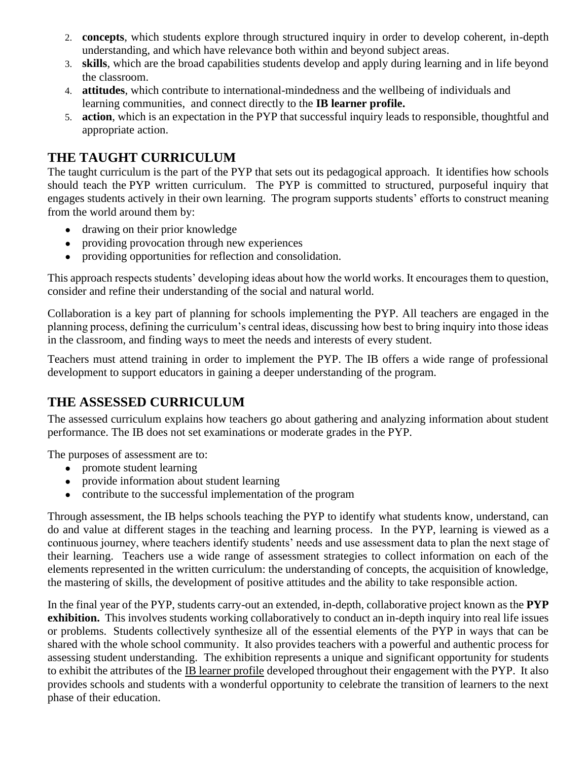- 2. **concepts**, which students explore through structured inquiry in order to develop coherent, in-depth understanding, and which have relevance both within and beyond subject areas.
- 3. **skills**, which are the broad capabilities students develop and apply during learning and in life beyond the classroom.
- 4. **attitudes**, which contribute to international-mindedness and the wellbeing of individuals and learning communities, and connect directly to the **[IB learner profile.](http://www.ibo.org/benefits/learner-profile/)**
- 5. **action**, which is an expectation in the PYP that successful inquiry leads to responsible, thoughtful and appropriate action.

# **THE TAUGHT CURRICULUM**

The taught curriculum is the part of the PYP that sets out its pedagogical approach. It identifies how schools should teach the [PYP written curriculum.](http://www.ibo.org/programmes/primary-years-programme/curriculum/written-curriculum/) The PYP is committed to structured, purposeful inquiry that engages students actively in their own learning. The program supports students' efforts to construct meaning from the world around them by:

- drawing on their prior knowledge
- providing provocation through new experiences
- providing opportunities for reflection and consolidation.

This approach respects students' developing ideas about how the world works. It encourages them to question, consider and refine their understanding of the social and natural world.

Collaboration is a key part of planning for schools implementing the PYP. All teachers are engaged in the planning process, defining the curriculum's central ideas, discussing how best to bring inquiry into those ideas in the classroom, and finding ways to meet the needs and interests of every student.

Teachers must attend training in order to implement the PYP. The IB offers a wide range of professional development to support educators in gaining a deeper understanding of the program.

# **THE ASSESSED CURRICULUM**

The assessed curriculum explains how teachers go about gathering and analyzing information about student performance. The IB does not set examinations or moderate grades in the PYP.

The purposes of assessment are to:

- promote student learning
- provide information about student learning
- contribute to the successful implementation of the program

Through assessment, the IB helps schools teaching the PYP to identify what students know, understand, can do and value at different stages in the teaching and learning process. In the PYP, learning is viewed as a continuous journey, where teachers identify students' needs and use assessment data to plan the next stage of their learning. Teachers use a wide range of assessment strategies to collect information on each of the elements represented in the [written curriculum:](http://www.ibo.org/programmes/primary-years-programme/curriculum/written-curriculum/) the understanding of concepts, the acquisition of knowledge, the mastering of skills, the development of positive attitudes and the ability to take responsible action.

In the final year of the PYP, students carry-out an extended, in-depth, collaborative project known as the **PYP exhibition.** This involves students working collaboratively to conduct an in-depth inquiry into real life issues or problems. Students collectively synthesize all of the essential elements of the PYP in ways that can be shared with the whole school community.It also provides teachers with a powerful and authentic process for assessing student understanding.The exhibition represents a unique and significant opportunity for students to exhibit the attributes of the [IB learner profile](http://www.ibo.org/benefits/learner-profile/) developed throughout their engagement with the PYP.It also provides schools and students with a wonderful opportunity to celebrate the transition of learners to the next phase of their education.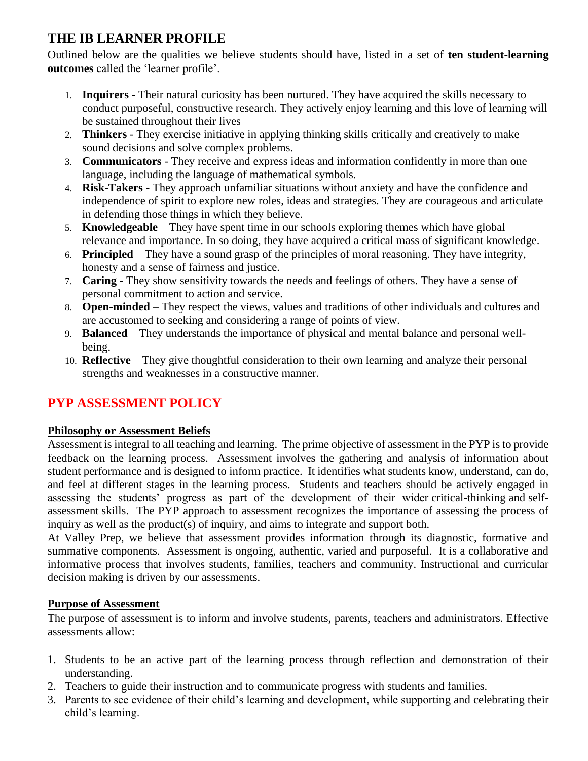# **THE IB LEARNER PROFILE**

Outlined below are the qualities we believe students should have, listed in a set of **ten student-learning outcomes** called the 'learner profile'.

- 1. **Inquirers** Their natural curiosity has been nurtured. They have acquired the skills necessary to conduct purposeful, constructive research. They actively enjoy learning and this love of learning will be sustained throughout their lives
- 2. **Thinkers** They exercise initiative in applying thinking skills critically and creatively to make sound decisions and solve complex problems.
- 3. **Communicators** They receive and express ideas and information confidently in more than one language, including the language of mathematical symbols.
- 4. **Risk-Takers** They approach unfamiliar situations without anxiety and have the confidence and independence of spirit to explore new roles, ideas and strategies. They are courageous and articulate in defending those things in which they believe.
- 5. **Knowledgeable** They have spent time in our schools exploring themes which have global relevance and importance. In so doing, they have acquired a critical mass of significant knowledge.
- 6. **Principled** They have a sound grasp of the principles of moral reasoning. They have integrity, honesty and a sense of fairness and justice.
- 7. **Caring**  They show sensitivity towards the needs and feelings of others. They have a sense of personal commitment to action and service.
- 8. **Open-minded** They respect the views, values and traditions of other individuals and cultures and are accustomed to seeking and considering a range of points of view.
- 9. **Balanced** They understands the importance of physical and mental balance and personal wellbeing.
- 10. **Reflective** They give thoughtful consideration to their own learning and analyze their personal strengths and weaknesses in a constructive manner.

# **PYP ASSESSMENT POLICY**

# **Philosophy or Assessment Beliefs**

Assessment is integral to all teaching and learning. The prime objective of assessment in the PYP is to provide feedback on the learning process. Assessment involves the gathering and analysis of information about student performance and is designed to inform practice. It identifies what students know, understand, can do, and feel at different stages in the learning process. Students and teachers should be actively engaged in assessing the students' progress as part of the development of their wider critical-thinking and selfassessment skills. The PYP approach to assessment recognizes the importance of assessing the process of inquiry as well as the product(s) of inquiry, and aims to integrate and support both.

At Valley Prep, we believe that assessment provides information through its diagnostic, formative and summative components. Assessment is ongoing, authentic, varied and purposeful. It is a collaborative and informative process that involves students, families, teachers and community. Instructional and curricular decision making is driven by our assessments.

# **Purpose of Assessment**

The purpose of assessment is to inform and involve students, parents, teachers and administrators. Effective assessments allow:

- 1. Students to be an active part of the learning process through reflection and demonstration of their understanding.
- 2. Teachers to guide their instruction and to communicate progress with students and families.
- 3. Parents to see evidence of their child's learning and development, while supporting and celebrating their child's learning.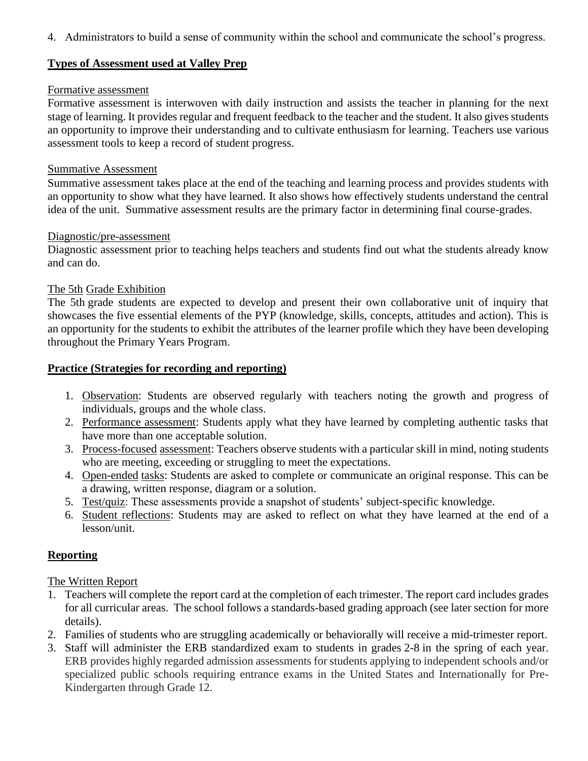4. Administrators to build a sense of community within the school and communicate the school's progress.

### **Types of Assessment used at Valley Prep**

#### Formative assessment

Formative assessment is interwoven with daily instruction and assists the teacher in planning for the next stage of learning. It provides regular and frequent feedback to the teacher and the student. It also gives students an opportunity to improve their understanding and to cultivate enthusiasm for learning. Teachers use various assessment tools to keep a record of student progress.

#### Summative Assessment

Summative assessment takes place at the end of the teaching and learning process and provides students with an opportunity to show what they have learned. It also shows how effectively students understand the central idea of the unit. Summative assessment results are the primary factor in determining final course-grades.

### Diagnostic/pre-assessment

Diagnostic assessment prior to teaching helps teachers and students find out what the students already know and can do.

# The 5th Grade Exhibition

The 5th grade students are expected to develop and present their own collaborative unit of inquiry that showcases the five essential elements of the PYP (knowledge, skills, concepts, attitudes and action). This is an opportunity for the students to exhibit the attributes of the learner profile which they have been developing throughout the Primary Years Program.

### **Practice (Strategies for recording and reporting)**

- 1. Observation: Students are observed regularly with teachers noting the growth and progress of individuals, groups and the whole class.
- 2. Performance assessment: Students apply what they have learned by completing authentic tasks that have more than one acceptable solution.
- 3. Process-focused assessment: Teachers observe students with a particular skill in mind, noting students who are meeting, exceeding or struggling to meet the expectations.
- 4. Open-ended tasks: Students are asked to complete or communicate an original response. This can be a drawing, written response, diagram or a solution.
- 5. Test/quiz: These assessments provide a snapshot of students' subject-specific knowledge.
- 6. Student reflections: Students may are asked to reflect on what they have learned at the end of a lesson/unit.

# **Reporting**

# The Written Report

- 1. Teachers will complete the report card at the completion of each trimester. The report card includes grades for all curricular areas. The school follows a standards-based grading approach (see later section for more details).
- 2. Families of students who are struggling academically or behaviorally will receive a mid-trimester report.
- 3. Staff will administer the ERB standardized exam to students in grades 2-8 in the spring of each year. ERB provides highly regarded admission assessments for students applying to independent schools and/or specialized public schools requiring entrance exams in the United States and Internationally for Pre-Kindergarten through Grade 12.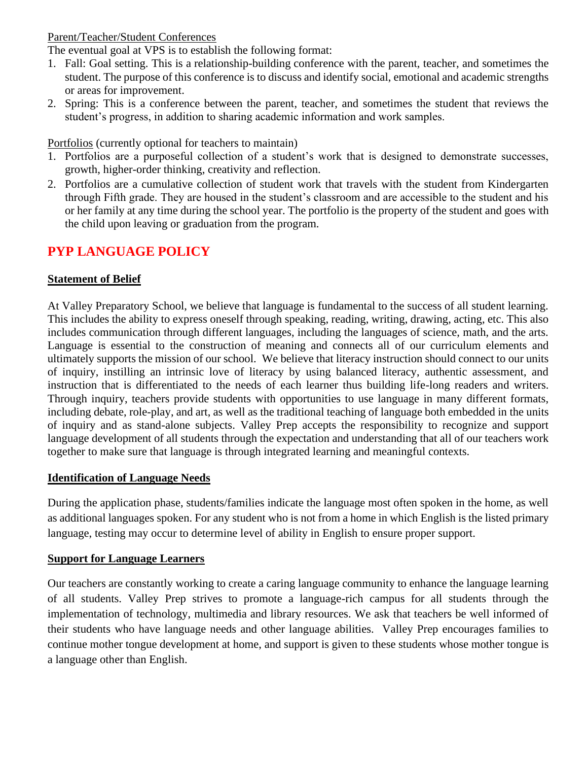### Parent/Teacher/Student Conferences

The eventual goal at VPS is to establish the following format:

- 1. Fall: Goal setting. This is a relationship-building conference with the parent, teacher, and sometimes the student. The purpose of this conference is to discuss and identify social, emotional and academic strengths or areas for improvement.
- 2. Spring: This is a conference between the parent, teacher, and sometimes the student that reviews the student's progress, in addition to sharing academic information and work samples.

Portfolios (currently optional for teachers to maintain)

- 1. Portfolios are a purposeful collection of a student's work that is designed to demonstrate successes, growth, higher-order thinking, creativity and reflection.
- 2. Portfolios are a cumulative collection of student work that travels with the student from Kindergarten through Fifth grade. They are housed in the student's classroom and are accessible to the student and his or her family at any time during the school year. The portfolio is the property of the student and goes with the child upon leaving or graduation from the program.

# **PYP LANGUAGE POLICY**

### **Statement of Belief**

At Valley Preparatory School, we believe that language is fundamental to the success of all student learning. This includes the ability to express oneself through speaking, reading, writing, drawing, acting, etc. This also includes communication through different languages, including the languages of science, math, and the arts. Language is essential to the construction of meaning and connects all of our curriculum elements and ultimately supports the mission of our school. We believe that literacy instruction should connect to our units of inquiry, instilling an intrinsic love of literacy by using balanced literacy, authentic assessment, and instruction that is differentiated to the needs of each learner thus building life-long readers and writers. Through inquiry, teachers provide students with opportunities to use language in many different formats, including debate, role-play, and art, as well as the traditional teaching of language both embedded in the units of inquiry and as stand-alone subjects. Valley Prep accepts the responsibility to recognize and support language development of all students through the expectation and understanding that all of our teachers work together to make sure that language is through integrated learning and meaningful contexts.

#### **Identification of Language Needs**

During the application phase, students/families indicate the language most often spoken in the home, as well as additional languages spoken. For any student who is not from a home in which English is the listed primary language, testing may occur to determine level of ability in English to ensure proper support.

# **Support for Language Learners**

Our teachers are constantly working to create a caring language community to enhance the language learning of all students. Valley Prep strives to promote a language-rich campus for all students through the implementation of technology, multimedia and library resources. We ask that teachers be well informed of their students who have language needs and other language abilities. Valley Prep encourages families to continue mother tongue development at home, and support is given to these students whose mother tongue is a language other than English.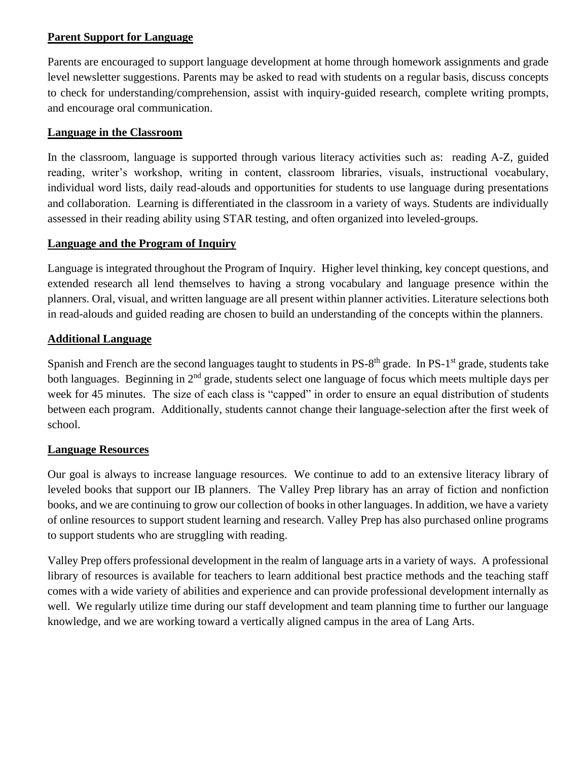# **Parent Support for Language**

Parents are encouraged to support language development at home through homework assignments and grade level newsletter suggestions. Parents may be asked to read with students on a regular basis, discuss concepts to check for understanding/comprehension, assist with inquiry-guided research, complete writing prompts, and encourage oral communication.

### **Language in the Classroom**

In the classroom, language is supported through various literacy activities such as: reading A-Z, guided reading, writer's workshop, writing in content, classroom libraries, visuals, instructional vocabulary, individual word lists, daily read-alouds and opportunities for students to use language during presentations and collaboration. Learning is differentiated in the classroom in a variety of ways. Students are individually assessed in their reading ability using STAR testing, and often organized into leveled-groups.

### **Language and the Program of Inquiry**

Language is integrated throughout the Program of Inquiry. Higher level thinking, key concept questions, and extended research all lend themselves to having a strong vocabulary and language presence within the planners. Oral, visual, and written language are all present within planner activities. Literature selections both in read-alouds and guided reading are chosen to build an understanding of the concepts within the planners.

### **Additional Language**

Spanish and French are the second languages taught to students in PS-8<sup>th</sup> grade. In PS-1<sup>st</sup> grade, students take both languages. Beginning in 2<sup>nd</sup> grade, students select one language of focus which meets multiple days per week for 45 minutes. The size of each class is "capped" in order to ensure an equal distribution of students between each program. Additionally, students cannot change their language-selection after the first week of school.

# **Language Resources**

Our goal is always to increase language resources. We continue to add to an extensive literacy library of leveled books that support our IB planners. The Valley Prep library has an array of fiction and nonfiction books, and we are continuing to grow our collection of books in other languages. In addition, we have a variety of online resources to support student learning and research. Valley Prep has also purchased online programs to support students who are struggling with reading.

Valley Prep offers professional development in the realm of language arts in a variety of ways. A professional library of resources is available for teachers to learn additional best practice methods and the teaching staff comes with a wide variety of abilities and experience and can provide professional development internally as well. We regularly utilize time during our staff development and team planning time to further our language knowledge, and we are working toward a vertically aligned campus in the area of Lang Arts.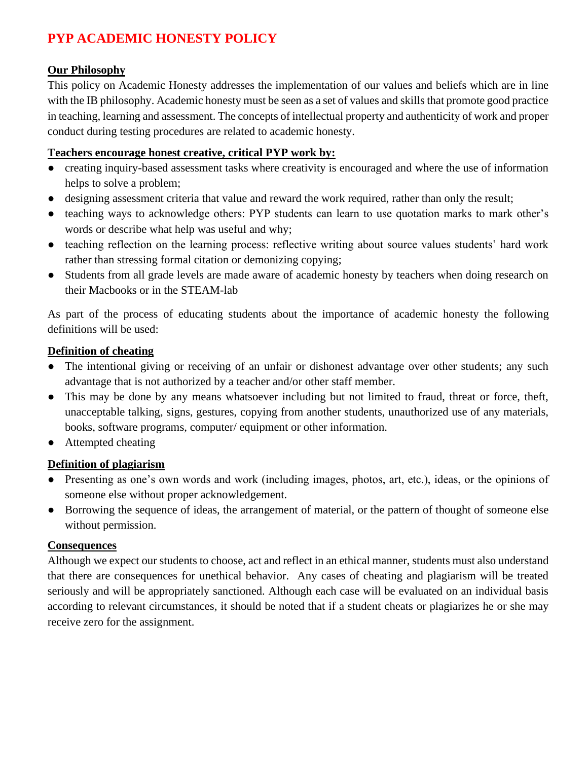# **PYP ACADEMIC HONESTY POLICY**

# **Our Philosophy**

This policy on Academic Honesty addresses the implementation of our values and beliefs which are in line with the IB philosophy. Academic honesty must be seen as a set of values and skills that promote good practice in teaching, learning and assessment. The concepts of intellectual property and authenticity of work and proper conduct during testing procedures are related to academic honesty.

# **Teachers encourage honest creative, critical PYP work by:**

- creating inquiry-based assessment tasks where creativity is encouraged and where the use of information helps to solve a problem;
- designing assessment criteria that value and reward the work required, rather than only the result;
- teaching ways to acknowledge others: PYP students can learn to use quotation marks to mark other's words or describe what help was useful and why;
- teaching reflection on the learning process: reflective writing about source values students' hard work rather than stressing formal citation or demonizing copying;
- Students from all grade levels are made aware of academic honesty by teachers when doing research on their Macbooks or in the STEAM-lab

As part of the process of educating students about the importance of academic honesty the following definitions will be used:

# **Definition of cheating**

- The intentional giving or receiving of an unfair or dishonest advantage over other students; any such advantage that is not authorized by a teacher and/or other staff member.
- This may be done by any means whatsoever including but not limited to fraud, threat or force, theft, unacceptable talking, signs, gestures, copying from another students, unauthorized use of any materials, books, software programs, computer/ equipment or other information.
- Attempted cheating

# **Definition of plagiarism**

- Presenting as one's own words and work (including images, photos, art, etc.), ideas, or the opinions of someone else without proper acknowledgement.
- Borrowing the sequence of ideas, the arrangement of material, or the pattern of thought of someone else without permission.

# **Consequences**

Although we expect our students to choose, act and reflect in an ethical manner, students must also understand that there are consequences for unethical behavior. Any cases of cheating and plagiarism will be treated seriously and will be appropriately sanctioned. Although each case will be evaluated on an individual basis according to relevant circumstances, it should be noted that if a student cheats or plagiarizes he or she may receive zero for the assignment.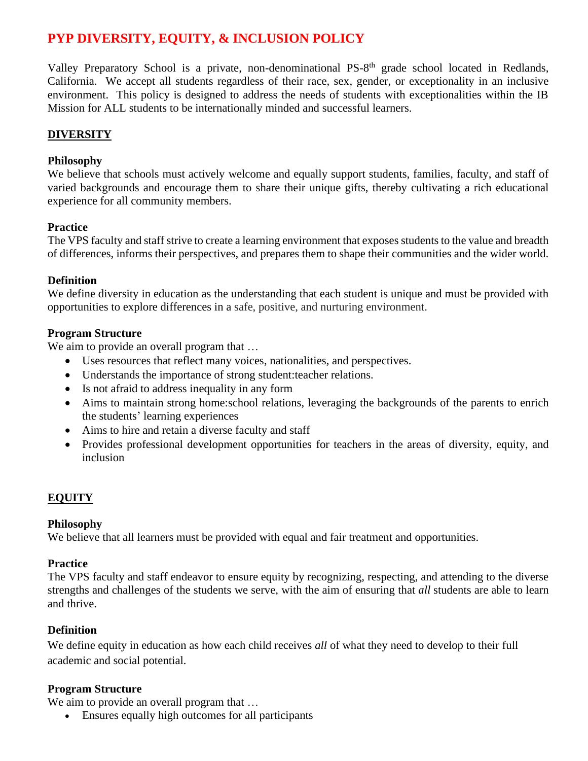# **PYP DIVERSITY, EQUITY, & INCLUSION POLICY**

Valley Preparatory School is a private, non-denominational PS-8<sup>th</sup> grade school located in Redlands, California. We accept all students regardless of their race, sex, gender, or exceptionality in an inclusive environment. This policy is designed to address the needs of students with exceptionalities within the IB Mission for ALL students to be internationally minded and successful learners.

# **DIVERSITY**

### **Philosophy**

We believe that schools must actively welcome and equally support students, families, faculty, and staff of varied backgrounds and encourage them to share their unique gifts, thereby cultivating a rich educational experience for all community members.

### **Practice**

The VPS faculty and staff strive to create a learning environment that exposes students to the value and breadth of differences, informs their perspectives, and prepares them to shape their communities and the wider world.

### **Definition**

We define diversity in education as the understanding that each student is unique and must be provided with opportunities to explore differences in a safe, positive, and nurturing environment.

### **Program Structure**

We aim to provide an overall program that ...

- Uses resources that reflect many voices, nationalities, and perspectives.
- Understands the importance of strong student:teacher relations.
- Is not afraid to address inequality in any form
- Aims to maintain strong home:school relations, leveraging the backgrounds of the parents to enrich the students' learning experiences
- Aims to hire and retain a diverse faculty and staff
- Provides professional development opportunities for teachers in the areas of diversity, equity, and inclusion

# **EQUITY**

#### **Philosophy**

We believe that all learners must be provided with equal and fair treatment and opportunities.

#### **Practice**

The VPS faculty and staff endeavor to ensure equity by recognizing, respecting, and attending to the diverse strengths and challenges of the students we serve, with the aim of ensuring that *all* students are able to learn and thrive.

# **Definition**

We define equity in education as how each child receives *all* of what they need to develop to their full academic and social potential.

# **Program Structure**

We aim to provide an overall program that ...

• Ensures equally high outcomes for all participants